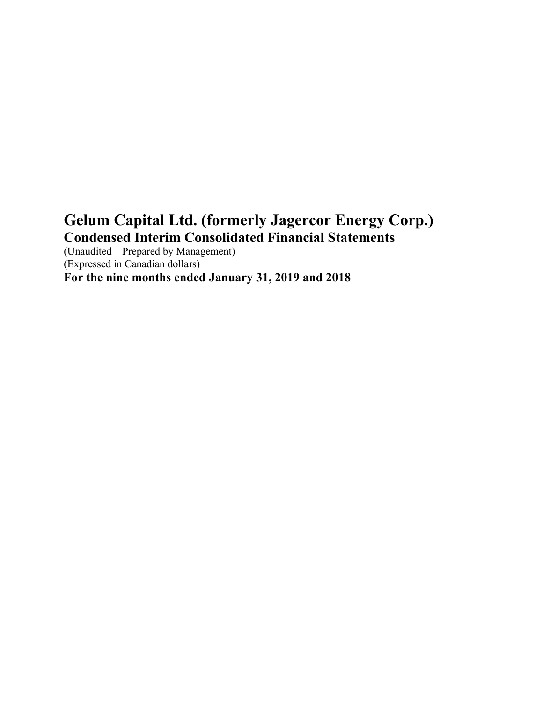# **Gelum Capital Ltd. (formerly Jagercor Energy Corp.) Condensed Interim Consolidated Financial Statements**

(Unaudited – Prepared by Management) (Expressed in Canadian dollars) **For the nine months ended January 31, 2019 and 2018**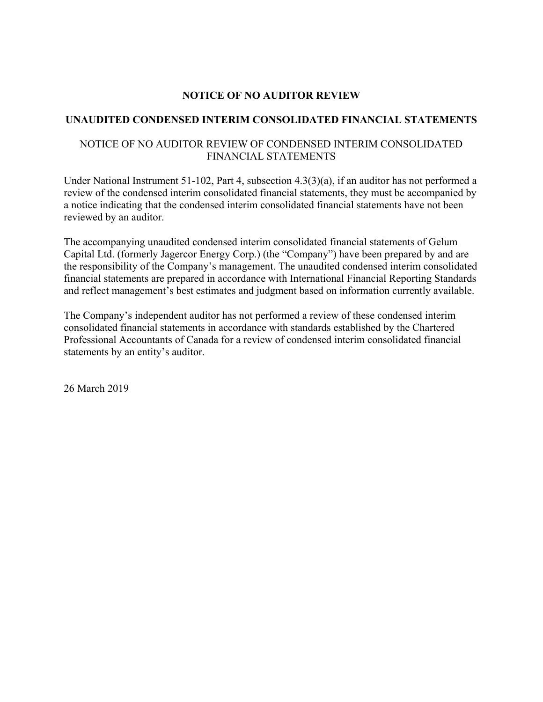# **NOTICE OF NO AUDITOR REVIEW**

# **UNAUDITED CONDENSED INTERIM CONSOLIDATED FINANCIAL STATEMENTS**

# NOTICE OF NO AUDITOR REVIEW OF CONDENSED INTERIM CONSOLIDATED FINANCIAL STATEMENTS

Under National Instrument 51-102, Part 4, subsection 4.3(3)(a), if an auditor has not performed a review of the condensed interim consolidated financial statements, they must be accompanied by a notice indicating that the condensed interim consolidated financial statements have not been reviewed by an auditor.

The accompanying unaudited condensed interim consolidated financial statements of Gelum Capital Ltd. (formerly Jagercor Energy Corp.) (the "Company") have been prepared by and are the responsibility of the Company's management. The unaudited condensed interim consolidated financial statements are prepared in accordance with International Financial Reporting Standards and reflect management's best estimates and judgment based on information currently available.

The Company's independent auditor has not performed a review of these condensed interim consolidated financial statements in accordance with standards established by the Chartered Professional Accountants of Canada for a review of condensed interim consolidated financial statements by an entity's auditor.

26 March 2019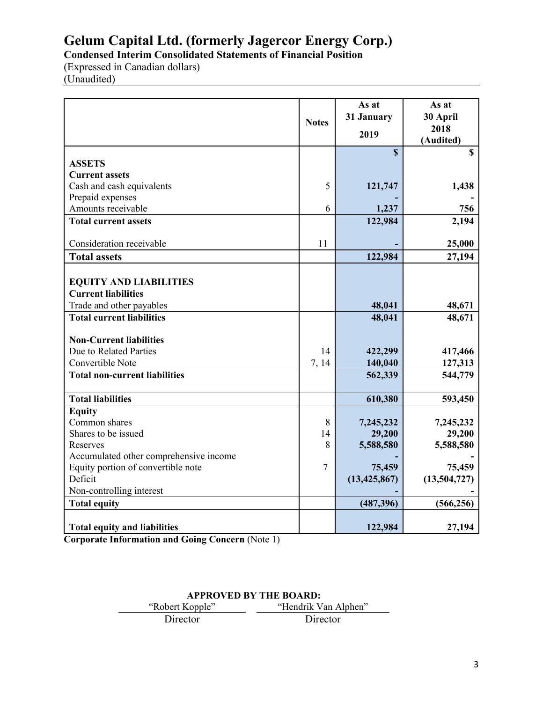**Condensed Interim Consolidated Statements of Financial Position**

(Expressed in Canadian dollars) (Unaudited)

|                                        | <b>Notes</b>   | As at<br>31 January<br>2019 | As at<br>30 April<br>2018 |
|----------------------------------------|----------------|-----------------------------|---------------------------|
|                                        |                |                             | (Audited)                 |
| <b>ASSETS</b>                          |                | $\mathbf{\$}$               | $\mathbf S$               |
| <b>Current assets</b>                  |                |                             |                           |
| Cash and cash equivalents              | 5              | 121,747                     | 1,438                     |
| Prepaid expenses                       |                |                             |                           |
| Amounts receivable                     | 6              | 1,237                       | 756                       |
| <b>Total current assets</b>            |                | 122,984                     | 2,194                     |
|                                        |                |                             |                           |
| Consideration receivable               | 11             |                             | 25,000                    |
| <b>Total assets</b>                    |                | 122,984                     | 27,194                    |
|                                        |                |                             |                           |
| <b>EQUITY AND LIABILITIES</b>          |                |                             |                           |
| <b>Current liabilities</b>             |                |                             |                           |
| Trade and other payables               |                | 48,041                      | 48,671                    |
| <b>Total current liabilities</b>       |                | 48,041                      | 48,671                    |
|                                        |                |                             |                           |
| <b>Non-Current liabilities</b>         |                |                             |                           |
| Due to Related Parties                 | 14             | 422,299                     | 417,466                   |
| Convertible Note                       | 7, 14          | 140,040                     | 127,313                   |
| <b>Total non-current liabilities</b>   |                | 562,339                     | 544,779                   |
|                                        |                |                             |                           |
| <b>Total liabilities</b>               |                | 610,380                     | 593,450                   |
| <b>Equity</b><br>Common shares         | 8              | 7,245,232                   | 7,245,232                 |
| Shares to be issued                    | 14             | 29,200                      | 29,200                    |
| Reserves                               | 8              | 5,588,580                   | 5,588,580                 |
| Accumulated other comprehensive income |                |                             |                           |
| Equity portion of convertible note     | $\overline{7}$ | 75,459                      | 75,459                    |
| Deficit                                |                | (13, 425, 867)              | (13,504,727)              |
| Non-controlling interest               |                |                             |                           |
| <b>Total equity</b>                    |                | (487, 396)                  | (566, 256)                |
|                                        |                |                             |                           |
| <b>Total equity and liabilities</b>    |                | 122,984                     | 27,194                    |

**Corporate Information and Going Concern** (Note 1)

# **APPROVED BY THE BOARD:**

| "Robert Kopple" | "Hendrik Van Alphen" |  |
|-----------------|----------------------|--|
| Director        | Director             |  |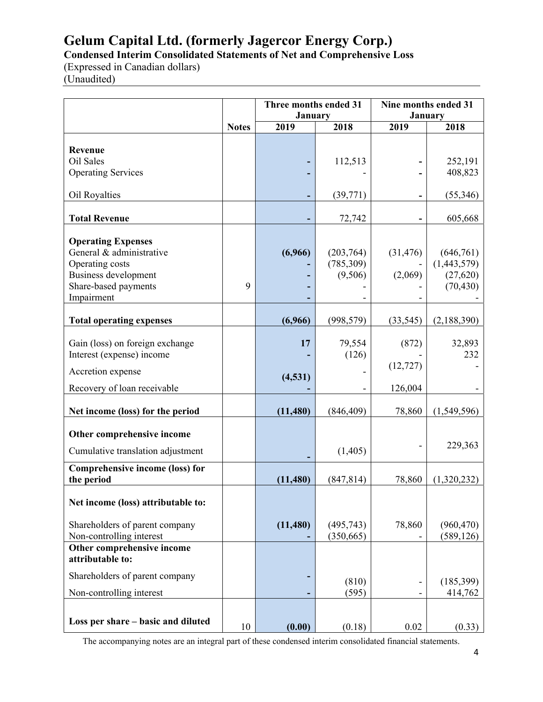**Condensed Interim Consolidated Statements of Net and Comprehensive Loss** 

(Expressed in Canadian dollars) (Unaudited)

|                                                                                                                                        |              | Three months ended 31<br><b>January</b> |                                   | Nine months ended 31<br>January |                                                    |
|----------------------------------------------------------------------------------------------------------------------------------------|--------------|-----------------------------------------|-----------------------------------|---------------------------------|----------------------------------------------------|
|                                                                                                                                        | <b>Notes</b> | 2019                                    | 2018                              | 2019                            | 2018                                               |
| Revenue<br>Oil Sales<br><b>Operating Services</b>                                                                                      |              |                                         | 112,513                           |                                 | 252,191<br>408,823                                 |
| Oil Royalties                                                                                                                          |              |                                         | (39, 771)                         |                                 | (55,346)                                           |
| <b>Total Revenue</b>                                                                                                                   |              |                                         | 72,742                            |                                 | 605,668                                            |
| <b>Operating Expenses</b><br>General & administrative<br>Operating costs<br>Business development<br>Share-based payments<br>Impairment | 9            | (6,966)                                 | (203,764)<br>(785,309)<br>(9,506) | (31, 476)<br>(2,069)            | (646,761)<br>(1,443,579)<br>(27, 620)<br>(70, 430) |
| <b>Total operating expenses</b>                                                                                                        |              | (6,966)                                 | (998, 579)                        | (33, 545)                       | (2,188,390)                                        |
| Gain (loss) on foreign exchange<br>Interest (expense) income<br>Accretion expense<br>Recovery of loan receivable                       |              | 17<br>(4, 531)                          | 79,554<br>(126)                   | (872)<br>(12, 727)<br>126,004   | 32,893<br>232                                      |
| Net income (loss) for the period                                                                                                       |              | (11, 480)                               | (846, 409)                        | 78,860                          | (1,549,596)                                        |
| Other comprehensive income<br>Cumulative translation adjustment                                                                        |              |                                         | (1,405)                           |                                 | 229,363                                            |
| Comprehensive income (loss) for<br>the period                                                                                          |              | (11, 480)                               | (847, 814)                        | 78,860                          | (1,320,232)                                        |
| Net income (loss) attributable to:<br>Shareholders of parent company<br>Non-controlling interest                                       |              | (11,480)                                | (495, 743)<br>(350, 665)          | 78,860                          | (960, 470)<br>(589, 126)                           |
| Other comprehensive income<br>attributable to:<br>Shareholders of parent company<br>Non-controlling interest                           |              |                                         | (810)<br>(595)                    |                                 | (185,399)<br>414,762                               |
| Loss per share – basic and diluted                                                                                                     | 10           | (0.00)                                  | (0.18)                            | 0.02                            | (0.33)                                             |

The accompanying notes are an integral part of these condensed interim consolidated financial statements.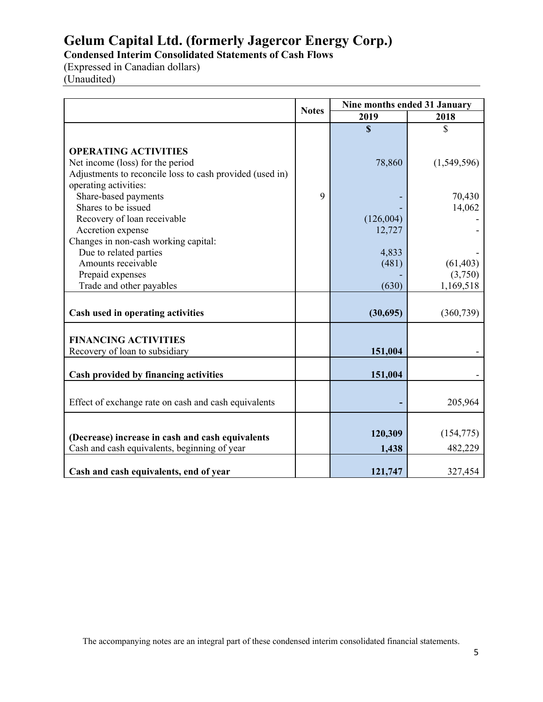**Condensed Interim Consolidated Statements of Cash Flows** 

(Expressed in Canadian dollars) (Unaudited)

|                                                          | <b>Notes</b> | Nine months ended 31 January |             |
|----------------------------------------------------------|--------------|------------------------------|-------------|
|                                                          |              | 2019                         | 2018        |
|                                                          |              | $\mathbf S$                  | \$          |
|                                                          |              |                              |             |
| <b>OPERATING ACTIVITIES</b>                              |              |                              |             |
| Net income (loss) for the period                         |              | 78,860                       | (1,549,596) |
| Adjustments to reconcile loss to cash provided (used in) |              |                              |             |
| operating activities:                                    |              |                              |             |
| Share-based payments                                     | 9            |                              | 70,430      |
| Shares to be issued                                      |              |                              | 14,062      |
| Recovery of loan receivable                              |              | (126,004)                    |             |
| Accretion expense                                        |              | 12,727                       |             |
| Changes in non-cash working capital:                     |              |                              |             |
| Due to related parties                                   |              | 4,833                        |             |
| Amounts receivable                                       |              | (481)                        | (61, 403)   |
| Prepaid expenses                                         |              |                              | (3,750)     |
| Trade and other payables                                 |              | (630)                        | 1,169,518   |
|                                                          |              |                              |             |
| Cash used in operating activities                        |              | (30,695)                     | (360, 739)  |
|                                                          |              |                              |             |
| <b>FINANCING ACTIVITIES</b>                              |              |                              |             |
| Recovery of loan to subsidiary                           |              | 151,004                      |             |
|                                                          |              |                              |             |
| Cash provided by financing activities                    |              | 151,004                      |             |
|                                                          |              |                              |             |
| Effect of exchange rate on cash and cash equivalents     |              |                              | 205,964     |
|                                                          |              |                              |             |
|                                                          |              |                              |             |
| (Decrease) increase in cash and cash equivalents         |              | 120,309                      | (154, 775)  |
| Cash and cash equivalents, beginning of year             |              | 1,438                        | 482,229     |
|                                                          |              |                              |             |
| Cash and cash equivalents, end of year                   |              | 121,747                      | 327,454     |

The accompanying notes are an integral part of these condensed interim consolidated financial statements.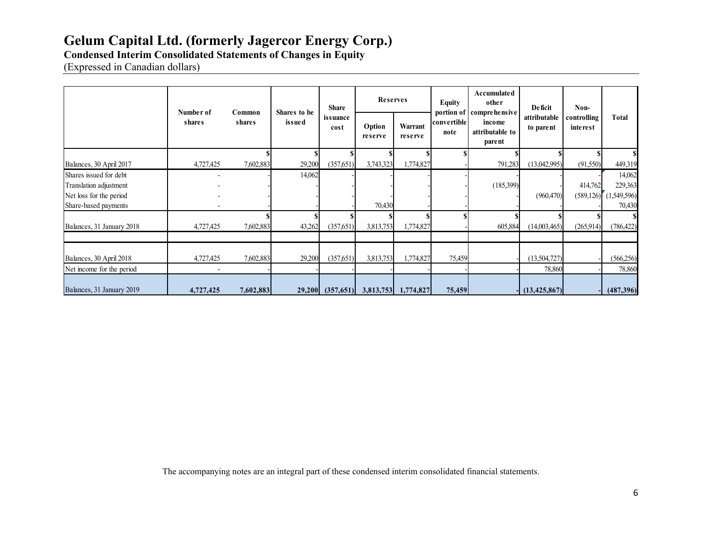# **Condensed Interim Consolidated Statements of Changes in Equity**

(Expressed in Canadian dollars)

|                           |                     |                  |                        | <b>Share</b>         | <b>Reserves</b><br><b>Equity</b> |                     |                     |                                                                 |                           |                         |             | Accumulated<br>other | Deficit | Non- |  |
|---------------------------|---------------------|------------------|------------------------|----------------------|----------------------------------|---------------------|---------------------|-----------------------------------------------------------------|---------------------------|-------------------------|-------------|----------------------|---------|------|--|
|                           | Number of<br>shares | Common<br>shares | Shares to be<br>issued | issuance<br>cost     | Option<br>reserve                | Warrant<br>reserve  | convertible<br>note | portion of comprehensive<br>income<br>attributable to<br>parent | attributable<br>to parent | controlling<br>interest | Total       |                      |         |      |  |
|                           |                     |                  |                        |                      |                                  |                     |                     |                                                                 |                           |                         | \$I         |                      |         |      |  |
| Balances, 30 April 2017   | 4,727,425           | 7,602,883        | 29,200                 | (357,651)            | 3,743,323                        | 1,774,827           |                     | 791,283                                                         | (13,042,995)              | (91,550)                | 449,319     |                      |         |      |  |
| Shares issued for debt    |                     |                  | 14,062                 |                      |                                  |                     |                     |                                                                 |                           |                         | 14,062      |                      |         |      |  |
| Translation adjustment    |                     |                  |                        |                      |                                  |                     |                     | (185,399)                                                       |                           | 414,762                 | 229,363     |                      |         |      |  |
| Net loss for the period   |                     |                  |                        |                      |                                  |                     |                     |                                                                 | (960, 470)                | (589, 126)              | (1,549,596) |                      |         |      |  |
| Share-based payments      |                     |                  |                        |                      | 70,430                           |                     |                     |                                                                 |                           |                         | 70,430      |                      |         |      |  |
| Balances, 31 January 2018 | 4,727,425           | 7,602,883        | 43,262                 | (357, 651)           | 3,813,753                        | 1,774,827           |                     | 605,884                                                         | (14,003,465)              | (265,914)               | (786, 422)  |                      |         |      |  |
|                           |                     |                  |                        |                      |                                  |                     |                     |                                                                 |                           |                         |             |                      |         |      |  |
| Balances, 30 April 2018   | 4,727,425           | 7,602,883        | 29,200                 | (357, 651)           | 3,813,753                        | 1,774,827           | 75,459              |                                                                 | (13,504,727)              |                         | (566, 256)  |                      |         |      |  |
| Net income for the period |                     |                  |                        |                      |                                  |                     |                     |                                                                 | 78,860                    |                         | 78,860      |                      |         |      |  |
| Balances, 31 January 2019 | 4,727,425           | 7,602,883        |                        | $29,200$ $(357,651)$ |                                  | 3,813,753 1,774,827 | 75,459              |                                                                 | (13, 425, 867)            |                         | (487, 396)  |                      |         |      |  |

The accompanying notes are an integral part of these condensed interim consolidated financial statements.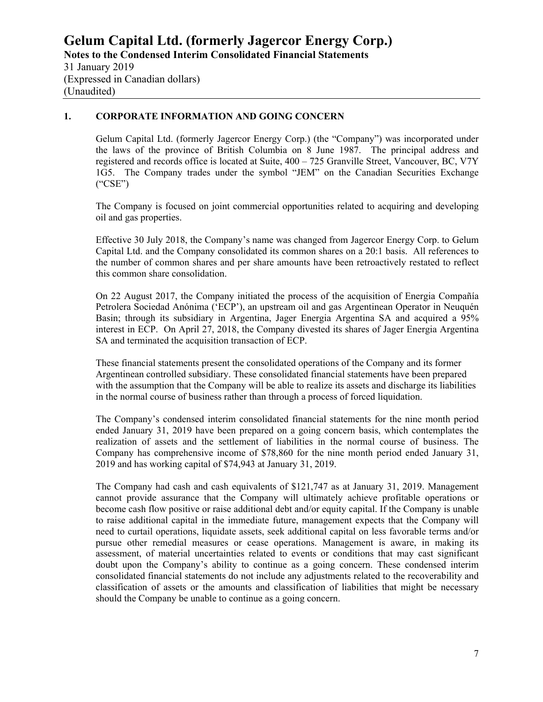#### (Unaudited)

#### **1. CORPORATE INFORMATION AND GOING CONCERN**

Gelum Capital Ltd. (formerly Jagercor Energy Corp.) (the "Company") was incorporated under the laws of the province of British Columbia on 8 June 1987. The principal address and registered and records office is located at Suite, 400 – 725 Granville Street, Vancouver, BC, V7Y 1G5. The Company trades under the symbol "JEM" on the Canadian Securities Exchange ("CSE")

The Company is focused on joint commercial opportunities related to acquiring and developing oil and gas properties.

Effective 30 July 2018, the Company's name was changed from Jagercor Energy Corp. to Gelum Capital Ltd. and the Company consolidated its common shares on a 20:1 basis. All references to the number of common shares and per share amounts have been retroactively restated to reflect this common share consolidation.

On 22 August 2017, the Company initiated the process of the acquisition of Energia Compañía Petrolera Sociedad Anónima ('ECP'), an upstream oil and gas Argentinean Operator in Neuquén Basin; through its subsidiary in Argentina, Jager Energia Argentina SA and acquired a 95% interest in ECP. On April 27, 2018, the Company divested its shares of Jager Energia Argentina SA and terminated the acquisition transaction of ECP.

These financial statements present the consolidated operations of the Company and its former Argentinean controlled subsidiary. These consolidated financial statements have been prepared with the assumption that the Company will be able to realize its assets and discharge its liabilities in the normal course of business rather than through a process of forced liquidation.

The Company's condensed interim consolidated financial statements for the nine month period ended January 31, 2019 have been prepared on a going concern basis, which contemplates the realization of assets and the settlement of liabilities in the normal course of business. The Company has comprehensive income of \$78,860 for the nine month period ended January 31, 2019 and has working capital of \$74,943 at January 31, 2019.

The Company had cash and cash equivalents of \$121,747 as at January 31, 2019. Management cannot provide assurance that the Company will ultimately achieve profitable operations or become cash flow positive or raise additional debt and/or equity capital. If the Company is unable to raise additional capital in the immediate future, management expects that the Company will need to curtail operations, liquidate assets, seek additional capital on less favorable terms and/or pursue other remedial measures or cease operations. Management is aware, in making its assessment, of material uncertainties related to events or conditions that may cast significant doubt upon the Company's ability to continue as a going concern. These condensed interim consolidated financial statements do not include any adjustments related to the recoverability and classification of assets or the amounts and classification of liabilities that might be necessary should the Company be unable to continue as a going concern.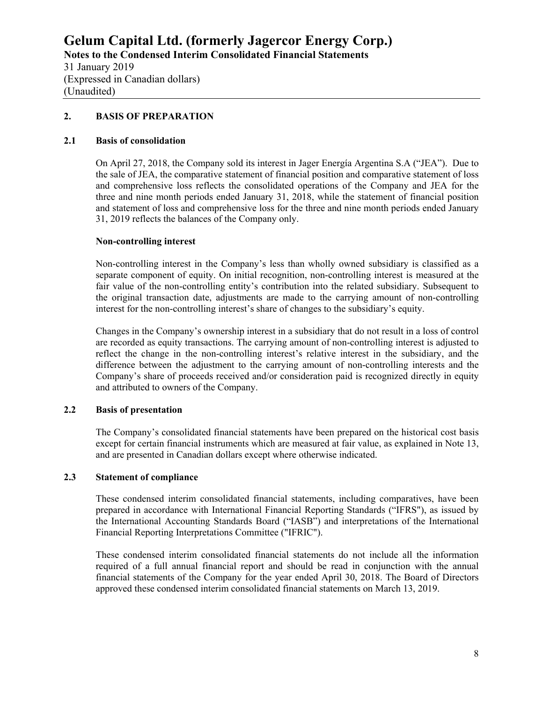#### **2. BASIS OF PREPARATION**

#### **2.1 Basis of consolidation**

On April 27, 2018, the Company sold its interest in Jager Energía Argentina S.A ("JEA"). Due to the sale of JEA, the comparative statement of financial position and comparative statement of loss and comprehensive loss reflects the consolidated operations of the Company and JEA for the three and nine month periods ended January 31, 2018, while the statement of financial position and statement of loss and comprehensive loss for the three and nine month periods ended January 31, 2019 reflects the balances of the Company only.

#### **Non-controlling interest**

Non-controlling interest in the Company's less than wholly owned subsidiary is classified as a separate component of equity. On initial recognition, non-controlling interest is measured at the fair value of the non-controlling entity's contribution into the related subsidiary. Subsequent to the original transaction date, adjustments are made to the carrying amount of non-controlling interest for the non-controlling interest's share of changes to the subsidiary's equity.

Changes in the Company's ownership interest in a subsidiary that do not result in a loss of control are recorded as equity transactions. The carrying amount of non-controlling interest is adjusted to reflect the change in the non-controlling interest's relative interest in the subsidiary, and the difference between the adjustment to the carrying amount of non-controlling interests and the Company's share of proceeds received and/or consideration paid is recognized directly in equity and attributed to owners of the Company.

# **2.2 Basis of presentation**

The Company's consolidated financial statements have been prepared on the historical cost basis except for certain financial instruments which are measured at fair value, as explained in Note 13, and are presented in Canadian dollars except where otherwise indicated.

#### **2.3 Statement of compliance**

These condensed interim consolidated financial statements, including comparatives, have been prepared in accordance with International Financial Reporting Standards ("IFRS"), as issued by the International Accounting Standards Board ("IASB") and interpretations of the International Financial Reporting Interpretations Committee ("IFRIC").

These condensed interim consolidated financial statements do not include all the information required of a full annual financial report and should be read in conjunction with the annual financial statements of the Company for the year ended April 30, 2018. The Board of Directors approved these condensed interim consolidated financial statements on March 13, 2019.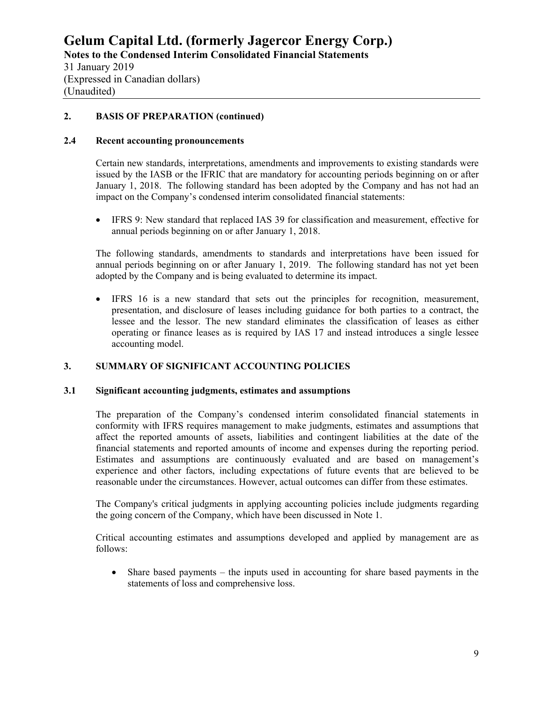### **2. BASIS OF PREPARATION (continued)**

#### **2.4 Recent accounting pronouncements**

Certain new standards, interpretations, amendments and improvements to existing standards were issued by the IASB or the IFRIC that are mandatory for accounting periods beginning on or after January 1, 2018. The following standard has been adopted by the Company and has not had an impact on the Company's condensed interim consolidated financial statements:

 IFRS 9: New standard that replaced IAS 39 for classification and measurement, effective for annual periods beginning on or after January 1, 2018.

The following standards, amendments to standards and interpretations have been issued for annual periods beginning on or after January 1, 2019. The following standard has not yet been adopted by the Company and is being evaluated to determine its impact.

 IFRS 16 is a new standard that sets out the principles for recognition, measurement, presentation, and disclosure of leases including guidance for both parties to a contract, the lessee and the lessor. The new standard eliminates the classification of leases as either operating or finance leases as is required by IAS 17 and instead introduces a single lessee accounting model.

# **3. SUMMARY OF SIGNIFICANT ACCOUNTING POLICIES**

#### **3.1 Significant accounting judgments, estimates and assumptions**

The preparation of the Company's condensed interim consolidated financial statements in conformity with IFRS requires management to make judgments, estimates and assumptions that affect the reported amounts of assets, liabilities and contingent liabilities at the date of the financial statements and reported amounts of income and expenses during the reporting period. Estimates and assumptions are continuously evaluated and are based on management's experience and other factors, including expectations of future events that are believed to be reasonable under the circumstances. However, actual outcomes can differ from these estimates.

The Company's critical judgments in applying accounting policies include judgments regarding the going concern of the Company, which have been discussed in Note 1.

Critical accounting estimates and assumptions developed and applied by management are as follows:

 Share based payments – the inputs used in accounting for share based payments in the statements of loss and comprehensive loss.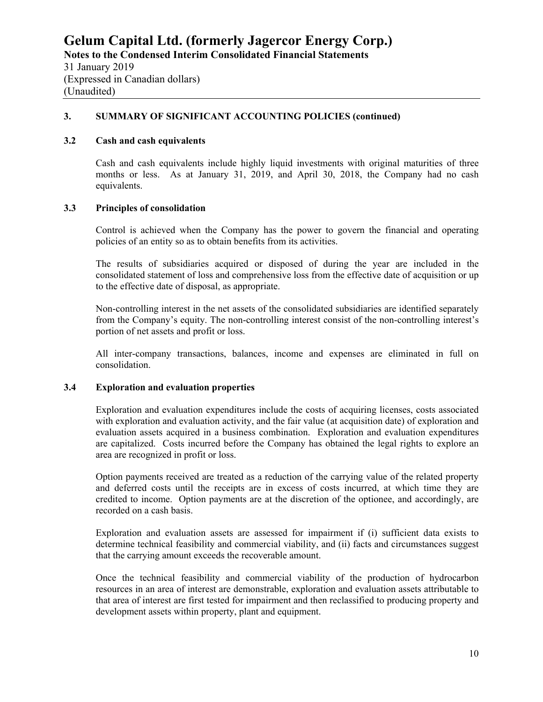(Expressed in Canadian dollars) (Unaudited)

# **3. SUMMARY OF SIGNIFICANT ACCOUNTING POLICIES (continued)**

#### **3.2 Cash and cash equivalents**

Cash and cash equivalents include highly liquid investments with original maturities of three months or less. As at January 31, 2019, and April 30, 2018, the Company had no cash equivalents.

#### **3.3 Principles of consolidation**

Control is achieved when the Company has the power to govern the financial and operating policies of an entity so as to obtain benefits from its activities.

The results of subsidiaries acquired or disposed of during the year are included in the consolidated statement of loss and comprehensive loss from the effective date of acquisition or up to the effective date of disposal, as appropriate.

Non-controlling interest in the net assets of the consolidated subsidiaries are identified separately from the Company's equity. The non-controlling interest consist of the non-controlling interest's portion of net assets and profit or loss.

All inter-company transactions, balances, income and expenses are eliminated in full on consolidation.

#### **3.4 Exploration and evaluation properties**

Exploration and evaluation expenditures include the costs of acquiring licenses, costs associated with exploration and evaluation activity, and the fair value (at acquisition date) of exploration and evaluation assets acquired in a business combination. Exploration and evaluation expenditures are capitalized. Costs incurred before the Company has obtained the legal rights to explore an area are recognized in profit or loss.

Option payments received are treated as a reduction of the carrying value of the related property and deferred costs until the receipts are in excess of costs incurred, at which time they are credited to income. Option payments are at the discretion of the optionee, and accordingly, are recorded on a cash basis.

Exploration and evaluation assets are assessed for impairment if (i) sufficient data exists to determine technical feasibility and commercial viability, and (ii) facts and circumstances suggest that the carrying amount exceeds the recoverable amount.

Once the technical feasibility and commercial viability of the production of hydrocarbon resources in an area of interest are demonstrable, exploration and evaluation assets attributable to that area of interest are first tested for impairment and then reclassified to producing property and development assets within property, plant and equipment.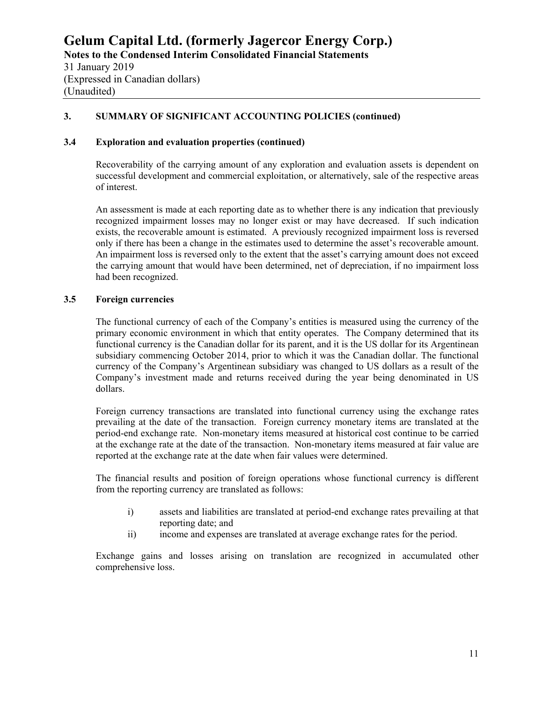(Expressed in Canadian dollars) (Unaudited)

# **3. SUMMARY OF SIGNIFICANT ACCOUNTING POLICIES (continued)**

#### **3.4 Exploration and evaluation properties (continued)**

Recoverability of the carrying amount of any exploration and evaluation assets is dependent on successful development and commercial exploitation, or alternatively, sale of the respective areas of interest.

An assessment is made at each reporting date as to whether there is any indication that previously recognized impairment losses may no longer exist or may have decreased. If such indication exists, the recoverable amount is estimated. A previously recognized impairment loss is reversed only if there has been a change in the estimates used to determine the asset's recoverable amount. An impairment loss is reversed only to the extent that the asset's carrying amount does not exceed the carrying amount that would have been determined, net of depreciation, if no impairment loss had been recognized.

#### **3.5 Foreign currencies**

The functional currency of each of the Company's entities is measured using the currency of the primary economic environment in which that entity operates. The Company determined that its functional currency is the Canadian dollar for its parent, and it is the US dollar for its Argentinean subsidiary commencing October 2014, prior to which it was the Canadian dollar. The functional currency of the Company's Argentinean subsidiary was changed to US dollars as a result of the Company's investment made and returns received during the year being denominated in US dollars.

Foreign currency transactions are translated into functional currency using the exchange rates prevailing at the date of the transaction. Foreign currency monetary items are translated at the period-end exchange rate. Non-monetary items measured at historical cost continue to be carried at the exchange rate at the date of the transaction. Non-monetary items measured at fair value are reported at the exchange rate at the date when fair values were determined.

The financial results and position of foreign operations whose functional currency is different from the reporting currency are translated as follows:

- i) assets and liabilities are translated at period-end exchange rates prevailing at that reporting date; and
- ii) income and expenses are translated at average exchange rates for the period.

Exchange gains and losses arising on translation are recognized in accumulated other comprehensive loss.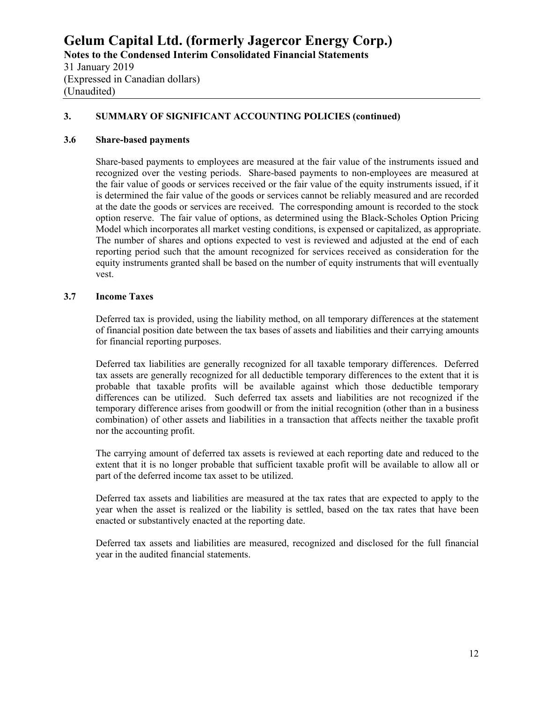#### **3. SUMMARY OF SIGNIFICANT ACCOUNTING POLICIES (continued)**

#### **3.6 Share-based payments**

Share-based payments to employees are measured at the fair value of the instruments issued and recognized over the vesting periods. Share-based payments to non-employees are measured at the fair value of goods or services received or the fair value of the equity instruments issued, if it is determined the fair value of the goods or services cannot be reliably measured and are recorded at the date the goods or services are received. The corresponding amount is recorded to the stock option reserve. The fair value of options, as determined using the Black-Scholes Option Pricing Model which incorporates all market vesting conditions, is expensed or capitalized, as appropriate. The number of shares and options expected to vest is reviewed and adjusted at the end of each reporting period such that the amount recognized for services received as consideration for the equity instruments granted shall be based on the number of equity instruments that will eventually vest.

#### **3.7 Income Taxes**

Deferred tax is provided, using the liability method, on all temporary differences at the statement of financial position date between the tax bases of assets and liabilities and their carrying amounts for financial reporting purposes.

Deferred tax liabilities are generally recognized for all taxable temporary differences. Deferred tax assets are generally recognized for all deductible temporary differences to the extent that it is probable that taxable profits will be available against which those deductible temporary differences can be utilized. Such deferred tax assets and liabilities are not recognized if the temporary difference arises from goodwill or from the initial recognition (other than in a business combination) of other assets and liabilities in a transaction that affects neither the taxable profit nor the accounting profit.

The carrying amount of deferred tax assets is reviewed at each reporting date and reduced to the extent that it is no longer probable that sufficient taxable profit will be available to allow all or part of the deferred income tax asset to be utilized.

Deferred tax assets and liabilities are measured at the tax rates that are expected to apply to the year when the asset is realized or the liability is settled, based on the tax rates that have been enacted or substantively enacted at the reporting date.

Deferred tax assets and liabilities are measured, recognized and disclosed for the full financial year in the audited financial statements.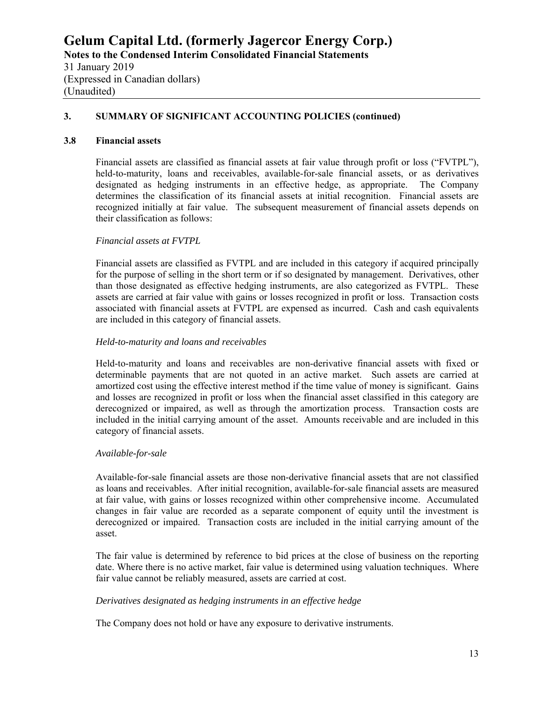#### **3. SUMMARY OF SIGNIFICANT ACCOUNTING POLICIES (continued)**

#### **3.8 Financial assets**

Financial assets are classified as financial assets at fair value through profit or loss ("FVTPL"), held-to-maturity, loans and receivables, available-for-sale financial assets, or as derivatives designated as hedging instruments in an effective hedge, as appropriate. The Company determines the classification of its financial assets at initial recognition. Financial assets are recognized initially at fair value. The subsequent measurement of financial assets depends on their classification as follows:

#### *Financial assets at FVTPL*

Financial assets are classified as FVTPL and are included in this category if acquired principally for the purpose of selling in the short term or if so designated by management. Derivatives, other than those designated as effective hedging instruments, are also categorized as FVTPL. These assets are carried at fair value with gains or losses recognized in profit or loss. Transaction costs associated with financial assets at FVTPL are expensed as incurred. Cash and cash equivalents are included in this category of financial assets.

#### *Held-to-maturity and loans and receivables*

Held-to-maturity and loans and receivables are non-derivative financial assets with fixed or determinable payments that are not quoted in an active market. Such assets are carried at amortized cost using the effective interest method if the time value of money is significant. Gains and losses are recognized in profit or loss when the financial asset classified in this category are derecognized or impaired, as well as through the amortization process. Transaction costs are included in the initial carrying amount of the asset. Amounts receivable and are included in this category of financial assets.

#### *Available-for-sale*

Available-for-sale financial assets are those non-derivative financial assets that are not classified as loans and receivables. After initial recognition, available-for-sale financial assets are measured at fair value, with gains or losses recognized within other comprehensive income. Accumulated changes in fair value are recorded as a separate component of equity until the investment is derecognized or impaired. Transaction costs are included in the initial carrying amount of the asset.

The fair value is determined by reference to bid prices at the close of business on the reporting date. Where there is no active market, fair value is determined using valuation techniques. Where fair value cannot be reliably measured, assets are carried at cost.

#### *Derivatives designated as hedging instruments in an effective hedge*

The Company does not hold or have any exposure to derivative instruments.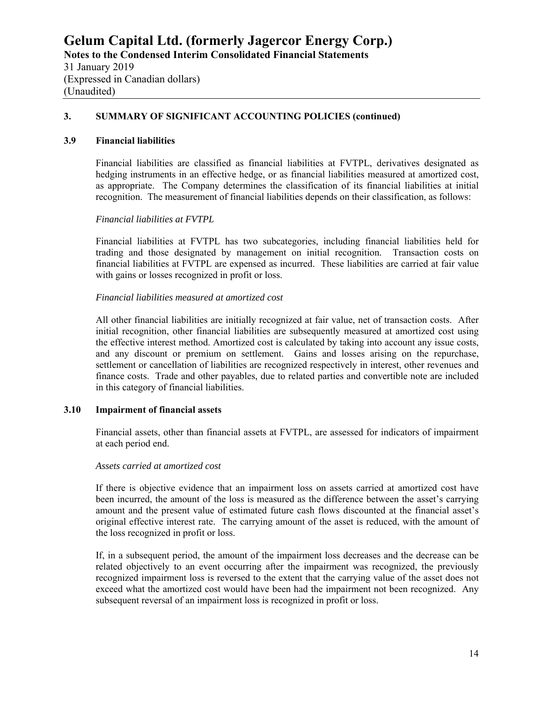(Unaudited)

#### **3. SUMMARY OF SIGNIFICANT ACCOUNTING POLICIES (continued)**

#### **3.9 Financial liabilities**

Financial liabilities are classified as financial liabilities at FVTPL, derivatives designated as hedging instruments in an effective hedge, or as financial liabilities measured at amortized cost, as appropriate. The Company determines the classification of its financial liabilities at initial recognition. The measurement of financial liabilities depends on their classification, as follows:

#### *Financial liabilities at FVTPL*

Financial liabilities at FVTPL has two subcategories, including financial liabilities held for trading and those designated by management on initial recognition. Transaction costs on financial liabilities at FVTPL are expensed as incurred. These liabilities are carried at fair value with gains or losses recognized in profit or loss.

#### *Financial liabilities measured at amortized cost*

All other financial liabilities are initially recognized at fair value, net of transaction costs. After initial recognition, other financial liabilities are subsequently measured at amortized cost using the effective interest method. Amortized cost is calculated by taking into account any issue costs, and any discount or premium on settlement. Gains and losses arising on the repurchase, settlement or cancellation of liabilities are recognized respectively in interest, other revenues and finance costs. Trade and other payables, due to related parties and convertible note are included in this category of financial liabilities.

#### **3.10 Impairment of financial assets**

Financial assets, other than financial assets at FVTPL, are assessed for indicators of impairment at each period end.

#### *Assets carried at amortized cost*

If there is objective evidence that an impairment loss on assets carried at amortized cost have been incurred, the amount of the loss is measured as the difference between the asset's carrying amount and the present value of estimated future cash flows discounted at the financial asset's original effective interest rate. The carrying amount of the asset is reduced, with the amount of the loss recognized in profit or loss.

If, in a subsequent period, the amount of the impairment loss decreases and the decrease can be related objectively to an event occurring after the impairment was recognized, the previously recognized impairment loss is reversed to the extent that the carrying value of the asset does not exceed what the amortized cost would have been had the impairment not been recognized. Any subsequent reversal of an impairment loss is recognized in profit or loss.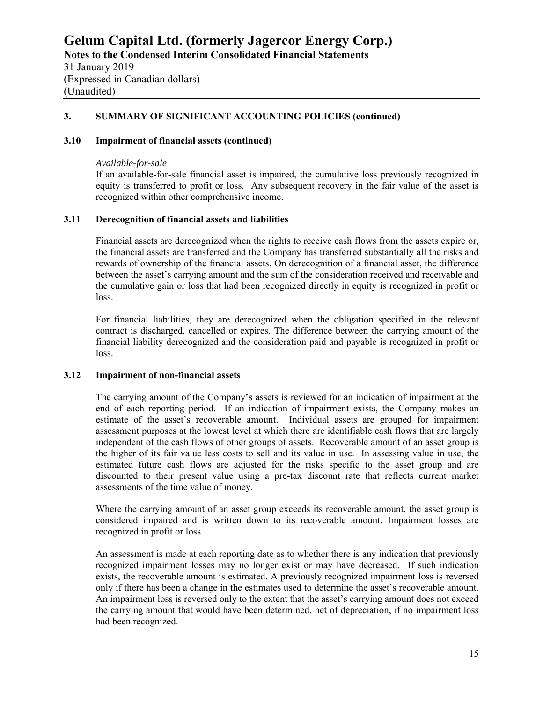### **3. SUMMARY OF SIGNIFICANT ACCOUNTING POLICIES (continued)**

#### **3.10 Impairment of financial assets (continued)**

#### *Available-for-sale*

If an available-for-sale financial asset is impaired, the cumulative loss previously recognized in equity is transferred to profit or loss. Any subsequent recovery in the fair value of the asset is recognized within other comprehensive income.

#### **3.11 Derecognition of financial assets and liabilities**

Financial assets are derecognized when the rights to receive cash flows from the assets expire or, the financial assets are transferred and the Company has transferred substantially all the risks and rewards of ownership of the financial assets. On derecognition of a financial asset, the difference between the asset's carrying amount and the sum of the consideration received and receivable and the cumulative gain or loss that had been recognized directly in equity is recognized in profit or loss.

For financial liabilities, they are derecognized when the obligation specified in the relevant contract is discharged, cancelled or expires. The difference between the carrying amount of the financial liability derecognized and the consideration paid and payable is recognized in profit or loss.

#### **3.12 Impairment of non-financial assets**

The carrying amount of the Company's assets is reviewed for an indication of impairment at the end of each reporting period. If an indication of impairment exists, the Company makes an estimate of the asset's recoverable amount. Individual assets are grouped for impairment assessment purposes at the lowest level at which there are identifiable cash flows that are largely independent of the cash flows of other groups of assets. Recoverable amount of an asset group is the higher of its fair value less costs to sell and its value in use. In assessing value in use, the estimated future cash flows are adjusted for the risks specific to the asset group and are discounted to their present value using a pre-tax discount rate that reflects current market assessments of the time value of money.

Where the carrying amount of an asset group exceeds its recoverable amount, the asset group is considered impaired and is written down to its recoverable amount. Impairment losses are recognized in profit or loss.

An assessment is made at each reporting date as to whether there is any indication that previously recognized impairment losses may no longer exist or may have decreased. If such indication exists, the recoverable amount is estimated. A previously recognized impairment loss is reversed only if there has been a change in the estimates used to determine the asset's recoverable amount. An impairment loss is reversed only to the extent that the asset's carrying amount does not exceed the carrying amount that would have been determined, net of depreciation, if no impairment loss had been recognized.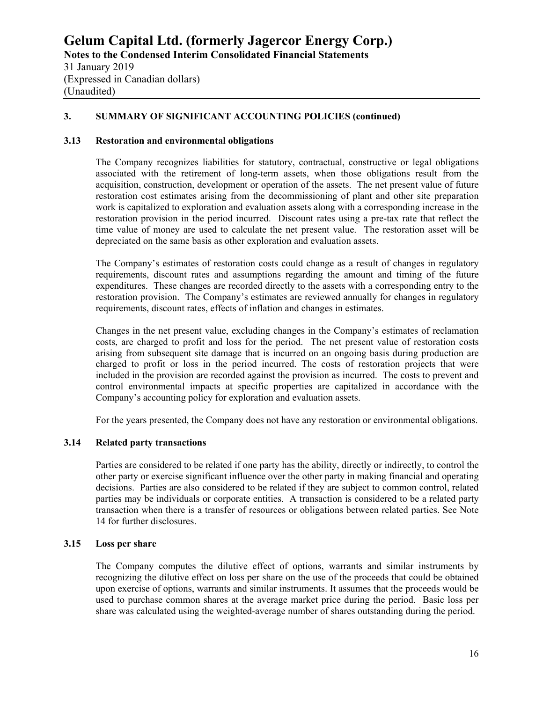#### **3. SUMMARY OF SIGNIFICANT ACCOUNTING POLICIES (continued)**

#### **3.13 Restoration and environmental obligations**

The Company recognizes liabilities for statutory, contractual, constructive or legal obligations associated with the retirement of long-term assets, when those obligations result from the acquisition, construction, development or operation of the assets. The net present value of future restoration cost estimates arising from the decommissioning of plant and other site preparation work is capitalized to exploration and evaluation assets along with a corresponding increase in the restoration provision in the period incurred. Discount rates using a pre-tax rate that reflect the time value of money are used to calculate the net present value. The restoration asset will be depreciated on the same basis as other exploration and evaluation assets.

The Company's estimates of restoration costs could change as a result of changes in regulatory requirements, discount rates and assumptions regarding the amount and timing of the future expenditures. These changes are recorded directly to the assets with a corresponding entry to the restoration provision. The Company's estimates are reviewed annually for changes in regulatory requirements, discount rates, effects of inflation and changes in estimates.

Changes in the net present value, excluding changes in the Company's estimates of reclamation costs, are charged to profit and loss for the period. The net present value of restoration costs arising from subsequent site damage that is incurred on an ongoing basis during production are charged to profit or loss in the period incurred. The costs of restoration projects that were included in the provision are recorded against the provision as incurred. The costs to prevent and control environmental impacts at specific properties are capitalized in accordance with the Company's accounting policy for exploration and evaluation assets.

For the years presented, the Company does not have any restoration or environmental obligations.

#### **3.14 Related party transactions**

Parties are considered to be related if one party has the ability, directly or indirectly, to control the other party or exercise significant influence over the other party in making financial and operating decisions. Parties are also considered to be related if they are subject to common control, related parties may be individuals or corporate entities. A transaction is considered to be a related party transaction when there is a transfer of resources or obligations between related parties. See Note 14 for further disclosures.

#### **3.15 Loss per share**

The Company computes the dilutive effect of options, warrants and similar instruments by recognizing the dilutive effect on loss per share on the use of the proceeds that could be obtained upon exercise of options, warrants and similar instruments. It assumes that the proceeds would be used to purchase common shares at the average market price during the period. Basic loss per share was calculated using the weighted-average number of shares outstanding during the period.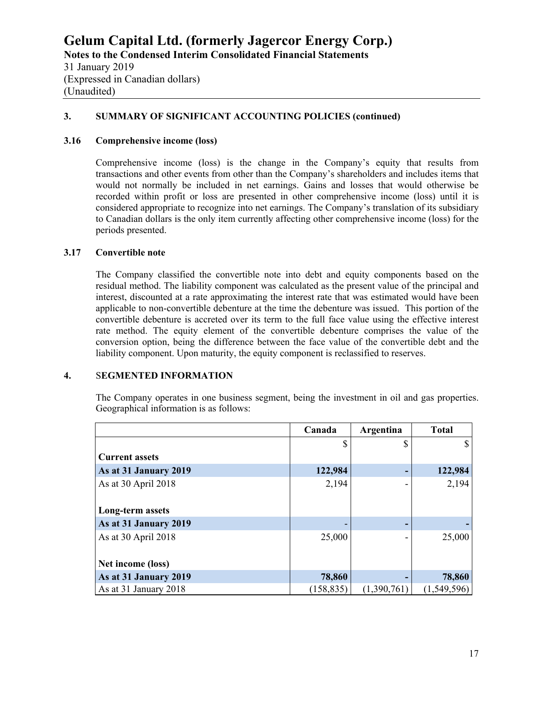(Expressed in Canadian dollars) (Unaudited)

#### **3. SUMMARY OF SIGNIFICANT ACCOUNTING POLICIES (continued)**

#### **3.16 Comprehensive income (loss)**

Comprehensive income (loss) is the change in the Company's equity that results from transactions and other events from other than the Company's shareholders and includes items that would not normally be included in net earnings. Gains and losses that would otherwise be recorded within profit or loss are presented in other comprehensive income (loss) until it is considered appropriate to recognize into net earnings. The Company's translation of its subsidiary to Canadian dollars is the only item currently affecting other comprehensive income (loss) for the periods presented.

#### **3.17 Convertible note**

The Company classified the convertible note into debt and equity components based on the residual method. The liability component was calculated as the present value of the principal and interest, discounted at a rate approximating the interest rate that was estimated would have been applicable to non-convertible debenture at the time the debenture was issued. This portion of the convertible debenture is accreted over its term to the full face value using the effective interest rate method. The equity element of the convertible debenture comprises the value of the conversion option, being the difference between the face value of the convertible debt and the liability component. Upon maturity, the equity component is reclassified to reserves.

# **4.** S**EGMENTED INFORMATION**

The Company operates in one business segment, being the investment in oil and gas properties. Geographical information is as follows:

|                       | Canada     | Argentina   | <b>Total</b> |
|-----------------------|------------|-------------|--------------|
|                       | S          | \$          |              |
| <b>Current assets</b> |            |             |              |
| As at 31 January 2019 | 122,984    |             | 122,984      |
| As at 30 April 2018   | 2,194      |             | 2,194        |
|                       |            |             |              |
| Long-term assets      |            |             |              |
| As at 31 January 2019 |            |             |              |
| As at 30 April 2018   | 25,000     |             | 25,000       |
|                       |            |             |              |
| Net income (loss)     |            |             |              |
| As at 31 January 2019 | 78,860     |             | 78,860       |
| As at 31 January 2018 | (158, 835) | (1,390,761) | (1,549,596)  |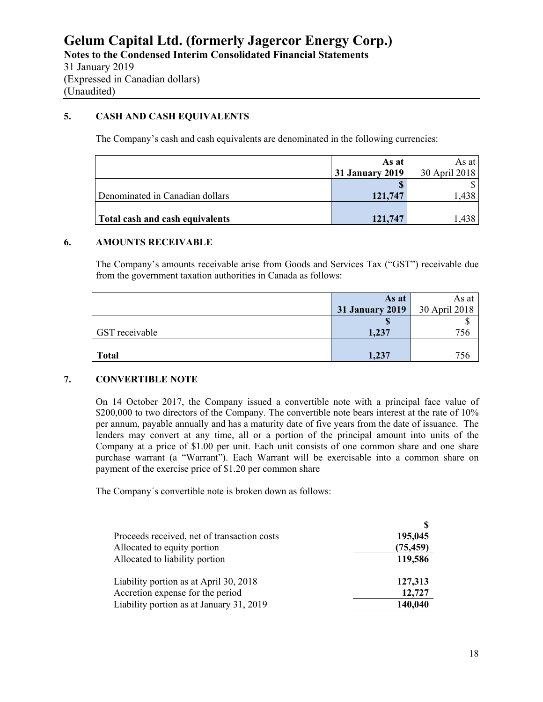# **5. CASH AND CASH EQUIVALENTS**

The Company's cash and cash equivalents are denominated in the following currencies:

|                                 | As at                  | As at         |
|---------------------------------|------------------------|---------------|
|                                 | <b>31 January 2019</b> | 30 April 2018 |
|                                 |                        |               |
| Denominated in Canadian dollars | 121,747                | .438          |
|                                 |                        |               |
| Total cash and cash equivalents | 121,747                |               |

#### **6. AMOUNTS RECEIVABLE**

The Company's amounts receivable arise from Goods and Services Tax ("GST") receivable due from the government taxation authorities in Canada as follows:

|                | As at<br><b>31 January 2019</b> | As at<br>30 April 2018 |
|----------------|---------------------------------|------------------------|
| GST receivable | 1,237                           |                        |
| <b>Total</b>   | 1,237                           |                        |

#### **7. CONVERTIBLE NOTE**

On 14 October 2017, the Company issued a convertible note with a principal face value of \$200,000 to two directors of the Company. The convertible note bears interest at the rate of 10% per annum, payable annually and has a maturity date of five years from the date of issuance. The lenders may convert at any time, all or a portion of the principal amount into units of the Company at a price of \$1.00 per unit. Each unit consists of one common share and one share purchase warrant (a "Warrant"). Each Warrant will be exercisable into a common share on payment of the exercise price of \$1.20 per common share

The Company´s convertible note is broken down as follows:

| Proceeds received, net of transaction costs | 195,045   |
|---------------------------------------------|-----------|
| Allocated to equity portion                 | (75, 459) |
| Allocated to liability portion              | 119,586   |
| Liability portion as at April 30, 2018      | 127,313   |
| Accretion expense for the period            | 12,727    |
| Liability portion as at January 31, 2019    | 140,040   |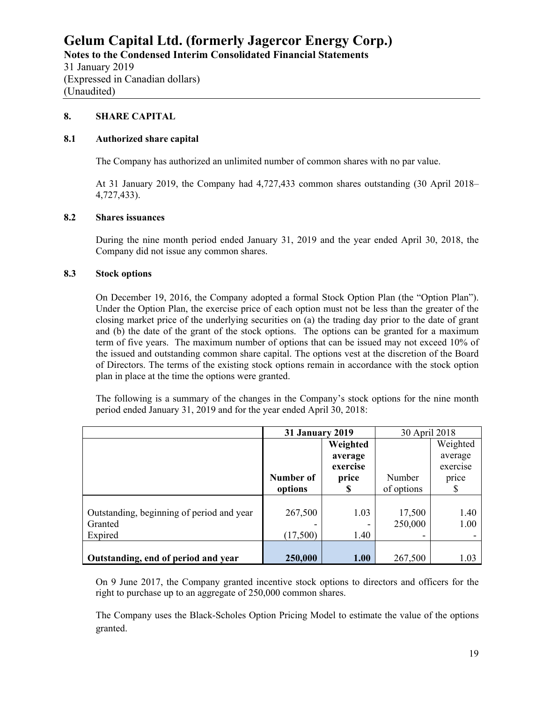#### **8. SHARE CAPITAL**

#### **8.1 Authorized share capital**

The Company has authorized an unlimited number of common shares with no par value.

At 31 January 2019, the Company had 4,727,433 common shares outstanding (30 April 2018– 4,727,433).

#### **8.2 Shares issuances**

During the nine month period ended January 31, 2019 and the year ended April 30, 2018, the Company did not issue any common shares.

#### **8.3 Stock options**

On December 19, 2016, the Company adopted a formal Stock Option Plan (the "Option Plan"). Under the Option Plan, the exercise price of each option must not be less than the greater of the closing market price of the underlying securities on (a) the trading day prior to the date of grant and (b) the date of the grant of the stock options. The options can be granted for a maximum term of five years. The maximum number of options that can be issued may not exceed 10% of the issued and outstanding common share capital. The options vest at the discretion of the Board of Directors. The terms of the existing stock options remain in accordance with the stock option plan in place at the time the options were granted.

The following is a summary of the changes in the Company's stock options for the nine month period ended January 31, 2019 and for the year ended April 30, 2018:

|                                           | <b>31 January 2019</b> |          | 30 April 2018 |          |
|-------------------------------------------|------------------------|----------|---------------|----------|
|                                           |                        | Weighted |               | Weighted |
|                                           |                        | average  |               | average  |
|                                           |                        | exercise |               | exercise |
|                                           | Number of              | price    | Number        | price    |
|                                           | options                | S        | of options    | S        |
|                                           |                        |          |               |          |
| Outstanding, beginning of period and year | 267,500                | 1.03     | 17,500        | 1.40     |
| Granted                                   |                        |          | 250,000       | 1.00     |
| Expired                                   | (17,500)               | 1.40     |               |          |
|                                           |                        |          |               |          |
| Outstanding, end of period and year       | 250,000                | 1.00     | 267,500       | 1.03     |

On 9 June 2017, the Company granted incentive stock options to directors and officers for the right to purchase up to an aggregate of 250,000 common shares.

The Company uses the Black-Scholes Option Pricing Model to estimate the value of the options granted.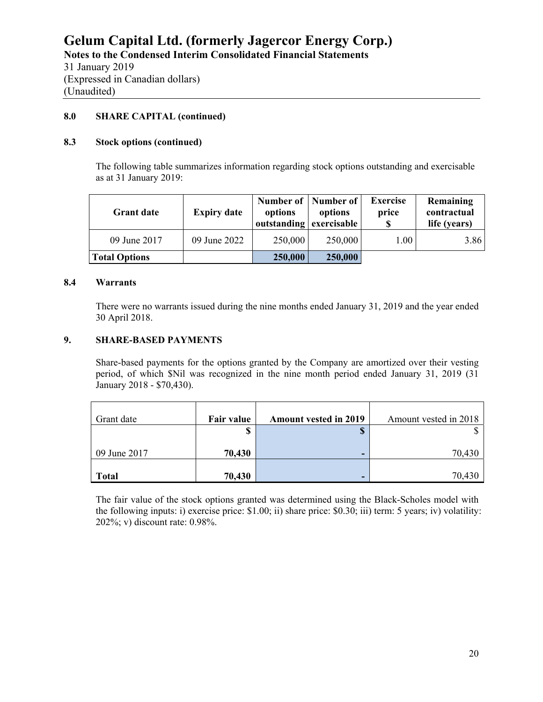(Unaudited)

#### **8.0 SHARE CAPITAL (continued)**

#### **8.3 Stock options (continued)**

The following table summarizes information regarding stock options outstanding and exercisable as at 31 January 2019:

| <b>Grant date</b>    | <b>Expiry date</b> | options<br>outstanding exercisable | Number of   Number of  <br>options | <b>Exercise</b><br>price<br>-S | Remaining<br>contractual<br>life (years) |
|----------------------|--------------------|------------------------------------|------------------------------------|--------------------------------|------------------------------------------|
| 09 June 2017         | 09 June 2022       | 250,000                            | 250,000                            | 1.00                           | 3.86                                     |
| <b>Total Options</b> |                    | 250,000                            | 250,000                            |                                |                                          |

#### **8.4 Warrants**

There were no warrants issued during the nine months ended January 31, 2019 and the year ended 30 April 2018.

#### **9. SHARE-BASED PAYMENTS**

Share-based payments for the options granted by the Company are amortized over their vesting period, of which \$Nil was recognized in the nine month period ended January 31, 2019 (31 January 2018 - \$70,430).

| Grant date   | Fair value | <b>Amount vested in 2019</b> | Amount vested in 2018 |
|--------------|------------|------------------------------|-----------------------|
|              | ጡ          | ۱D                           |                       |
| 09 June 2017 | 70,430     | -                            | 70,430                |
| <b>Total</b> | 70,430     | -                            | 70,430                |

The fair value of the stock options granted was determined using the Black-Scholes model with the following inputs: i) exercise price: \$1.00; ii) share price: \$0.30; iii) term: 5 years; iv) volatility: 202%; v) discount rate: 0.98%.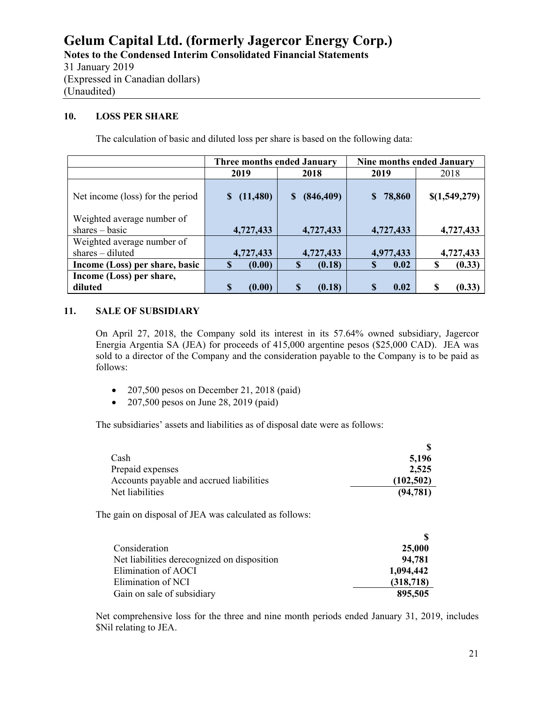#### **10. LOSS PER SHARE**

The calculation of basic and diluted loss per share is based on the following data:

|                                  | <b>Three months ended January</b> |                         | <b>Nine months ended January</b> |               |
|----------------------------------|-----------------------------------|-------------------------|----------------------------------|---------------|
|                                  | 2019                              | 2018                    | 2019                             | 2018          |
| Net income (loss) for the period | (11, 480)                         | (846, 409)<br>S         | 78,860<br>S.                     | \$(1,549,279) |
| Weighted average number of       |                                   |                         |                                  |               |
| $shares - basic$                 | 4,727,433                         | 4,727,433               | 4,727,433                        | 4,727,433     |
| Weighted average number of       |                                   |                         |                                  |               |
| $shares - diluted$               | 4,727,433                         | 4,727,433               | 4,977,433                        | 4,727,433     |
| Income (Loss) per share, basic   | \$<br>(0.00)                      | <sup>\$</sup><br>(0.18) | 0.02<br>S                        | (0.33)<br>S   |
| Income (Loss) per share,         |                                   |                         |                                  |               |
| diluted                          | (0.00)                            | (0.18)                  | 0.02                             | (0.33)<br>S   |

#### **11. SALE OF SUBSIDIARY**

On April 27, 2018, the Company sold its interest in its 57.64% owned subsidiary, Jagercor Energia Argentia SA (JEA) for proceeds of 415,000 argentine pesos (\$25,000 CAD). JEA was sold to a director of the Company and the consideration payable to the Company is to be paid as follows:

- 207,500 pesos on December 21, 2018 (paid)
- 207,500 pesos on June 28, 2019 (paid)

The subsidiaries' assets and liabilities as of disposal date were as follows:

| Cash                                     | 5.196      |
|------------------------------------------|------------|
| Prepaid expenses                         | 2,525      |
| Accounts payable and accrued liabilities | (102, 502) |
| Net liabilities                          | (94, 781)  |

The gain on disposal of JEA was calculated as follows:

| Consideration                               | <b>25,000</b> |
|---------------------------------------------|---------------|
| Net liabilities derecognized on disposition | 94,781        |
| Elimination of AOCI                         | 1,094,442     |
| Elimination of NCI                          | (318, 718)    |
| Gain on sale of subsidiary                  | 895,505       |

Net comprehensive loss for the three and nine month periods ended January 31, 2019, includes \$Nil relating to JEA.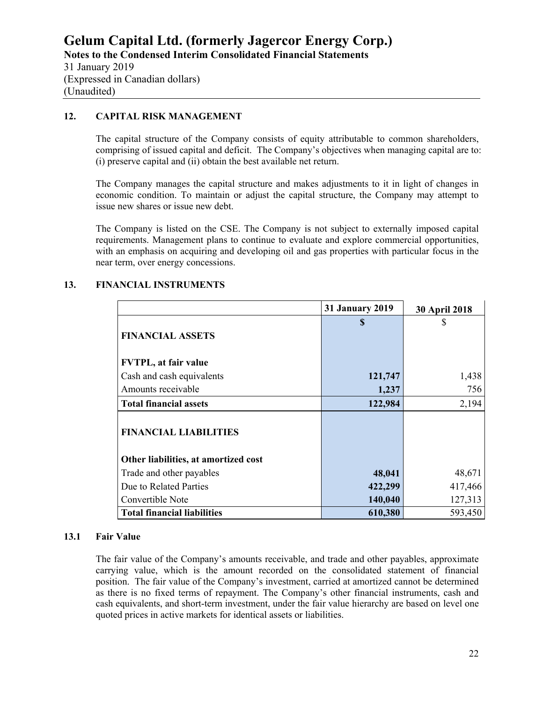#### (Unaudited)

#### **12. CAPITAL RISK MANAGEMENT**

The capital structure of the Company consists of equity attributable to common shareholders, comprising of issued capital and deficit. The Company's objectives when managing capital are to: (i) preserve capital and (ii) obtain the best available net return.

The Company manages the capital structure and makes adjustments to it in light of changes in economic condition. To maintain or adjust the capital structure, the Company may attempt to issue new shares or issue new debt.

The Company is listed on the CSE. The Company is not subject to externally imposed capital requirements. Management plans to continue to evaluate and explore commercial opportunities, with an emphasis on acquiring and developing oil and gas properties with particular focus in the near term, over energy concessions.

|                                      | <b>31 January 2019</b> | <b>30 April 2018</b> |
|--------------------------------------|------------------------|----------------------|
|                                      | \$                     | S                    |
| <b>FINANCIAL ASSETS</b>              |                        |                      |
|                                      |                        |                      |
| <b>FVTPL, at fair value</b>          |                        |                      |
| Cash and cash equivalents            | 121,747                | 1,438                |
| Amounts receivable                   | 1,237                  | 756                  |
| <b>Total financial assets</b>        | 122,984                | 2,194                |
| <b>FINANCIAL LIABILITIES</b>         |                        |                      |
| Other liabilities, at amortized cost |                        |                      |
| Trade and other payables             | 48,041                 | 48,671               |
| Due to Related Parties               | 422,299                | 417,466              |
| Convertible Note                     | 140,040                | 127,313              |
| <b>Total financial liabilities</b>   | 610,380                | 593,450              |

#### **13. FINANCIAL INSTRUMENTS**

#### **13.1 Fair Value**

The fair value of the Company's amounts receivable, and trade and other payables, approximate carrying value, which is the amount recorded on the consolidated statement of financial position. The fair value of the Company's investment, carried at amortized cannot be determined as there is no fixed terms of repayment. The Company's other financial instruments, cash and cash equivalents, and short-term investment, under the fair value hierarchy are based on level one quoted prices in active markets for identical assets or liabilities.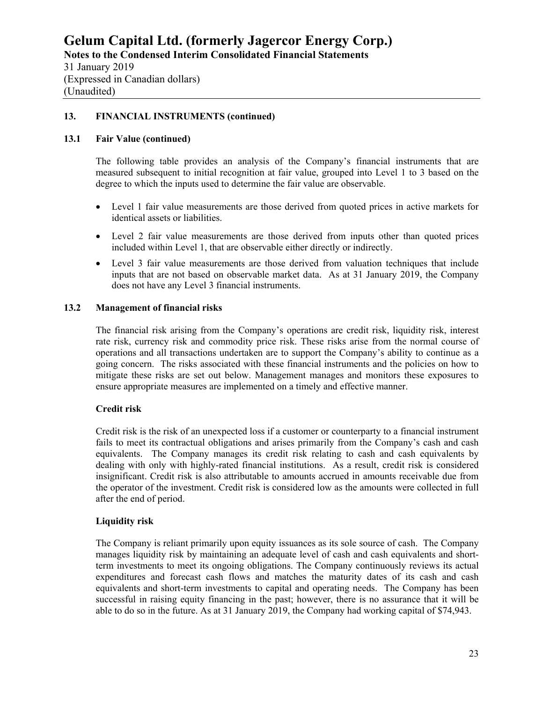#### **13. FINANCIAL INSTRUMENTS (continued)**

#### **13.1 Fair Value (continued)**

The following table provides an analysis of the Company's financial instruments that are measured subsequent to initial recognition at fair value, grouped into Level 1 to 3 based on the degree to which the inputs used to determine the fair value are observable.

- Level 1 fair value measurements are those derived from quoted prices in active markets for identical assets or liabilities.
- Level 2 fair value measurements are those derived from inputs other than quoted prices included within Level 1, that are observable either directly or indirectly.
- Level 3 fair value measurements are those derived from valuation techniques that include inputs that are not based on observable market data. As at 31 January 2019, the Company does not have any Level 3 financial instruments.

#### **13.2 Management of financial risks**

The financial risk arising from the Company's operations are credit risk, liquidity risk, interest rate risk, currency risk and commodity price risk. These risks arise from the normal course of operations and all transactions undertaken are to support the Company's ability to continue as a going concern. The risks associated with these financial instruments and the policies on how to mitigate these risks are set out below. Management manages and monitors these exposures to ensure appropriate measures are implemented on a timely and effective manner.

# **Credit risk**

Credit risk is the risk of an unexpected loss if a customer or counterparty to a financial instrument fails to meet its contractual obligations and arises primarily from the Company's cash and cash equivalents. The Company manages its credit risk relating to cash and cash equivalents by dealing with only with highly-rated financial institutions. As a result, credit risk is considered insignificant. Credit risk is also attributable to amounts accrued in amounts receivable due from the operator of the investment. Credit risk is considered low as the amounts were collected in full after the end of period.

#### **Liquidity risk**

The Company is reliant primarily upon equity issuances as its sole source of cash. The Company manages liquidity risk by maintaining an adequate level of cash and cash equivalents and shortterm investments to meet its ongoing obligations. The Company continuously reviews its actual expenditures and forecast cash flows and matches the maturity dates of its cash and cash equivalents and short-term investments to capital and operating needs. The Company has been successful in raising equity financing in the past; however, there is no assurance that it will be able to do so in the future. As at 31 January 2019, the Company had working capital of \$74,943.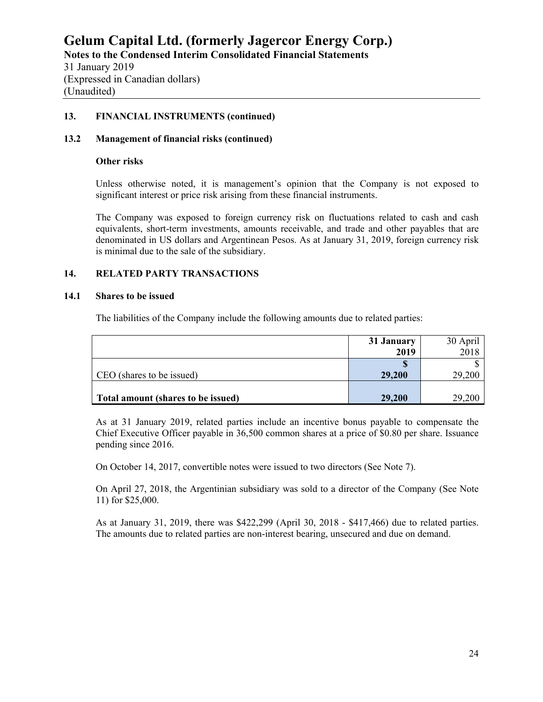(Expressed in Canadian dollars) (Unaudited)

#### **13. FINANCIAL INSTRUMENTS (continued)**

#### **13.2 Management of financial risks (continued)**

#### **Other risks**

Unless otherwise noted, it is management's opinion that the Company is not exposed to significant interest or price risk arising from these financial instruments.

The Company was exposed to foreign currency risk on fluctuations related to cash and cash equivalents, short-term investments, amounts receivable, and trade and other payables that are denominated in US dollars and Argentinean Pesos. As at January 31, 2019, foreign currency risk is minimal due to the sale of the subsidiary.

# **14. RELATED PARTY TRANSACTIONS**

#### **14.1 Shares to be issued**

The liabilities of the Company include the following amounts due to related parties:

|                                    | 31 January | 30 April |
|------------------------------------|------------|----------|
|                                    | 2019       | 2018     |
|                                    |            |          |
| CEO (shares to be issued)          | 29,200     | 29,200   |
|                                    |            |          |
| Total amount (shares to be issued) | 29,200     | 29,200   |

As at 31 January 2019, related parties include an incentive bonus payable to compensate the Chief Executive Officer payable in 36,500 common shares at a price of \$0.80 per share. Issuance pending since 2016.

On October 14, 2017, convertible notes were issued to two directors (See Note 7).

On April 27, 2018, the Argentinian subsidiary was sold to a director of the Company (See Note 11) for \$25,000.

As at January 31, 2019, there was \$422,299 (April 30, 2018 - \$417,466) due to related parties. The amounts due to related parties are non-interest bearing, unsecured and due on demand.